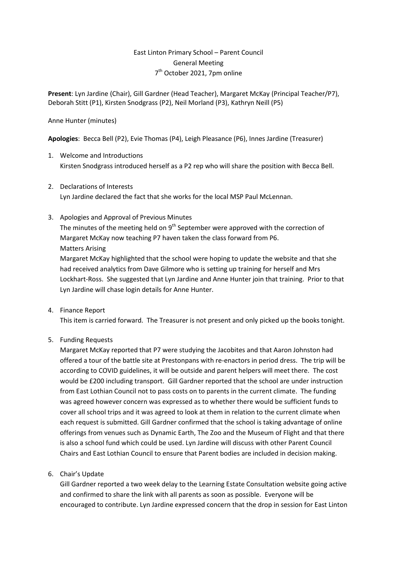# East Linton Primary School – Parent Council General Meeting 7<sup>th</sup> October 2021, 7pm online

**Present**: Lyn Jardine (Chair), Gill Gardner (Head Teacher), Margaret McKay (Principal Teacher/P7), Deborah Stitt (P1), Kirsten Snodgrass (P2), Neil Morland (P3), Kathryn Neill (P5)

## Anne Hunter (minutes)

**Apologies**: Becca Bell (P2), Evie Thomas (P4), Leigh Pleasance (P6), Innes Jardine (Treasurer)

- 1. Welcome and Introductions Kirsten Snodgrass introduced herself as a P2 rep who will share the position with Becca Bell.
- 2. Declarations of Interests Lyn Jardine declared the fact that she works for the local MSP Paul McLennan.
- 3. Apologies and Approval of Previous Minutes

The minutes of the meeting held on 9<sup>th</sup> September were approved with the correction of Margaret McKay now teaching P7 haven taken the class forward from P6. Matters Arising

Margaret McKay highlighted that the school were hoping to update the website and that she had received analytics from Dave Gilmore who is setting up training for herself and Mrs Lockhart-Ross. She suggested that Lyn Jardine and Anne Hunter join that training. Prior to that Lyn Jardine will chase login details for Anne Hunter.

4. Finance Report

This item is carried forward. The Treasurer is not present and only picked up the books tonight.

5. Funding Requests

Margaret McKay reported that P7 were studying the Jacobites and that Aaron Johnston had offered a tour of the battle site at Prestonpans with re-enactors in period dress. The trip will be according to COVID guidelines, it will be outside and parent helpers will meet there. The cost would be £200 including transport. Gill Gardner reported that the school are under instruction from East Lothian Council not to pass costs on to parents in the current climate. The funding was agreed however concern was expressed as to whether there would be sufficient funds to cover all school trips and it was agreed to look at them in relation to the current climate when each request is submitted. Gill Gardner confirmed that the school is taking advantage of online offerings from venues such as Dynamic Earth, The Zoo and the Museum of Flight and that there is also a school fund which could be used. Lyn Jardine will discuss with other Parent Council Chairs and East Lothian Council to ensure that Parent bodies are included in decision making.

6. Chair's Update

Gill Gardner reported a two week delay to the Learning Estate Consultation website going active and confirmed to share the link with all parents as soon as possible. Everyone will be encouraged to contribute. Lyn Jardine expressed concern that the drop in session for East Linton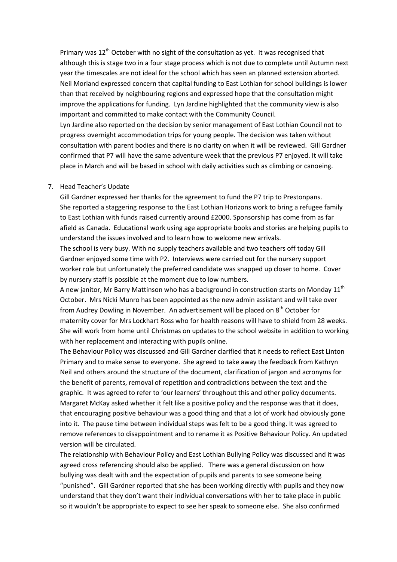Primary was  $12<sup>th</sup>$  October with no sight of the consultation as yet. It was recognised that although this is stage two in a four stage process which is not due to complete until Autumn next year the timescales are not ideal for the school which has seen an planned extension aborted. Neil Morland expressed concern that capital funding to East Lothian for school buildings is lower than that received by neighbouring regions and expressed hope that the consultation might improve the applications for funding. Lyn Jardine highlighted that the community view is also important and committed to make contact with the Community Council.

Lyn Jardine also reported on the decision by senior management of East Lothian Council not to progress overnight accommodation trips for young people. The decision was taken without consultation with parent bodies and there is no clarity on when it will be reviewed. Gill Gardner confirmed that P7 will have the same adventure week that the previous P7 enjoyed. It will take place in March and will be based in school with daily activities such as climbing or canoeing.

#### 7. Head Teacher's Update

Gill Gardner expressed her thanks for the agreement to fund the P7 trip to Prestonpans. She reported a staggering response to the East Lothian Horizons work to bring a refugee family to East Lothian with funds raised currently around £2000. Sponsorship has come from as far afield as Canada. Educational work using age appropriate books and stories are helping pupils to understand the issues involved and to learn how to welcome new arrivals.

The school is very busy. With no supply teachers available and two teachers off today Gill Gardner enjoyed some time with P2. Interviews were carried out for the nursery support worker role but unfortunately the preferred candidate was snapped up closer to home. Cover by nursery staff is possible at the moment due to low numbers.

A new janitor, Mr Barry Mattinson who has a background in construction starts on Monday  $11<sup>th</sup>$ October. Mrs Nicki Munro has been appointed as the new admin assistant and will take over from Audrey Dowling in November. An advertisement will be placed on 8<sup>th</sup> October for maternity cover for Mrs Lockhart Ross who for health reasons will have to shield from 28 weeks. She will work from home until Christmas on updates to the school website in addition to working with her replacement and interacting with pupils online.

The Behaviour Policy was discussed and Gill Gardner clarified that it needs to reflect East Linton Primary and to make sense to everyone. She agreed to take away the feedback from Kathryn Neil and others around the structure of the document, clarification of jargon and acronyms for the benefit of parents, removal of repetition and contradictions between the text and the graphic. It was agreed to refer to 'our learners' throughout this and other policy documents. Margaret McKay asked whether it felt like a positive policy and the response was that it does, that encouraging positive behaviour was a good thing and that a lot of work had obviously gone into it. The pause time between individual steps was felt to be a good thing. It was agreed to remove references to disappointment and to rename it as Positive Behaviour Policy. An updated version will be circulated.

The relationship with Behaviour Policy and East Lothian Bullying Policy was discussed and it was agreed cross referencing should also be applied. There was a general discussion on how bullying was dealt with and the expectation of pupils and parents to see someone being "punished". Gill Gardner reported that she has been working directly with pupils and they now understand that they don't want their individual conversations with her to take place in public so it wouldn't be appropriate to expect to see her speak to someone else. She also confirmed